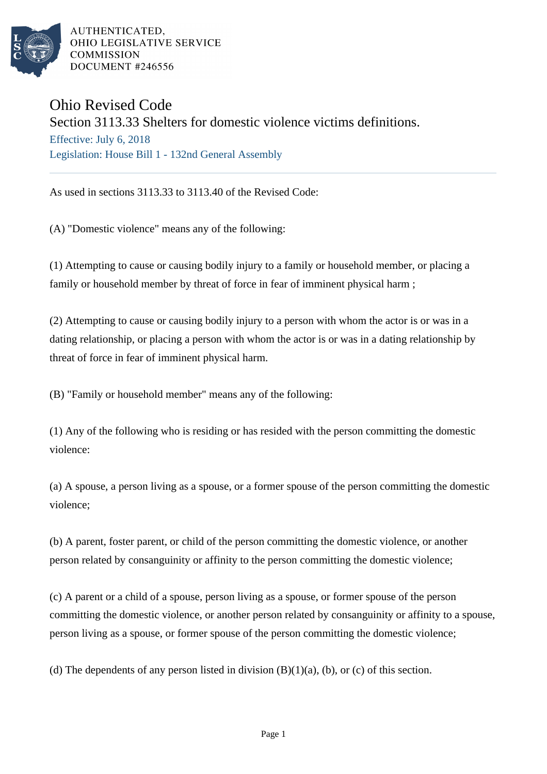

AUTHENTICATED. OHIO LEGISLATIVE SERVICE **COMMISSION** DOCUMENT #246556

## Ohio Revised Code

## Section 3113.33 Shelters for domestic violence victims definitions.

Effective: July 6, 2018 Legislation: House Bill 1 - 132nd General Assembly

As used in sections 3113.33 to 3113.40 of the Revised Code:

(A) "Domestic violence" means any of the following:

(1) Attempting to cause or causing bodily injury to a family or household member, or placing a family or household member by threat of force in fear of imminent physical harm ;

(2) Attempting to cause or causing bodily injury to a person with whom the actor is or was in a dating relationship, or placing a person with whom the actor is or was in a dating relationship by threat of force in fear of imminent physical harm.

(B) "Family or household member" means any of the following:

(1) Any of the following who is residing or has resided with the person committing the domestic violence:

(a) A spouse, a person living as a spouse, or a former spouse of the person committing the domestic violence;

(b) A parent, foster parent, or child of the person committing the domestic violence, or another person related by consanguinity or affinity to the person committing the domestic violence;

(c) A parent or a child of a spouse, person living as a spouse, or former spouse of the person committing the domestic violence, or another person related by consanguinity or affinity to a spouse, person living as a spouse, or former spouse of the person committing the domestic violence;

(d) The dependents of any person listed in division  $(B)(1)(a)$ , (b), or (c) of this section.